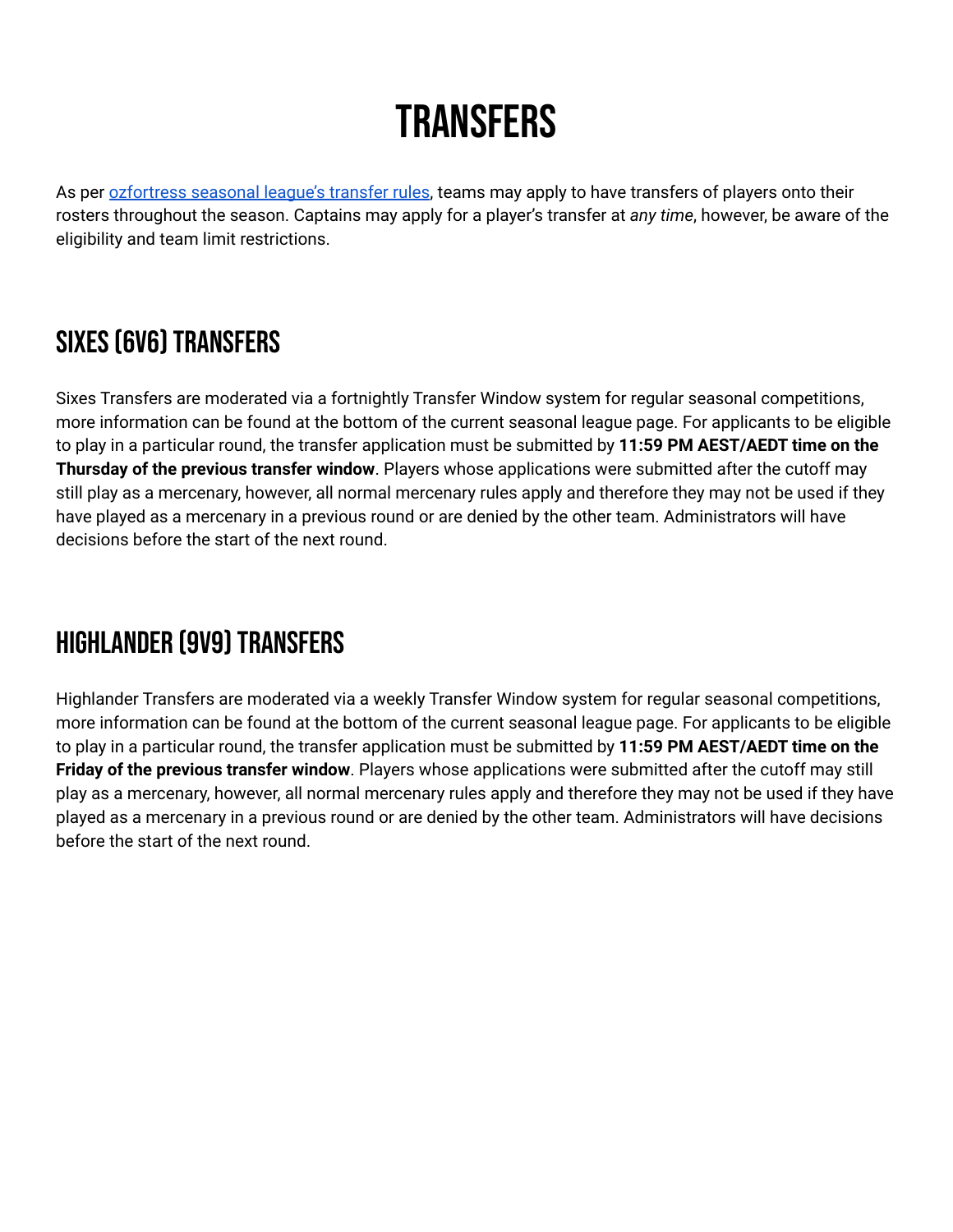# **TRANSFERS**

As per [ozfortress](https://warzone.ozfortress.com/rules#26-transfers) seasonal league's transfer rules, teams may apply to have transfers of players onto their rosters throughout the season. Captains may apply for a player's transfer at *any time*, however, be aware of the eligibility and team limit restrictions.

## SIXES (6V6) TRANSFERS

Sixes Transfers are moderated via a fortnightly Transfer Window system for regular seasonal competitions, more information can be found at the bottom of the current seasonal league page. For applicants to be eligible to play in a particular round, the transfer application must be submitted by **11:59 PM AEST/AEDT time on the Thursday of the previous transfer window**. Players whose applications were submitted after the cutoff may still play as a mercenary, however, all normal mercenary rules apply and therefore they may not be used if they have played as a mercenary in a previous round or are denied by the other team. Administrators will have decisions before the start of the next round.

#### HIGHLANDER (9V9) TRANSFERS

Highlander Transfers are moderated via a weekly Transfer Window system for regular seasonal competitions, more information can be found at the bottom of the current seasonal league page. For applicants to be eligible to play in a particular round, the transfer application must be submitted by **11:59 PM AEST/AEDT time on the Friday of the previous transfer window**. Players whose applications were submitted after the cutoff may still play as a mercenary, however, all normal mercenary rules apply and therefore they may not be used if they have played as a mercenary in a previous round or are denied by the other team. Administrators will have decisions before the start of the next round.